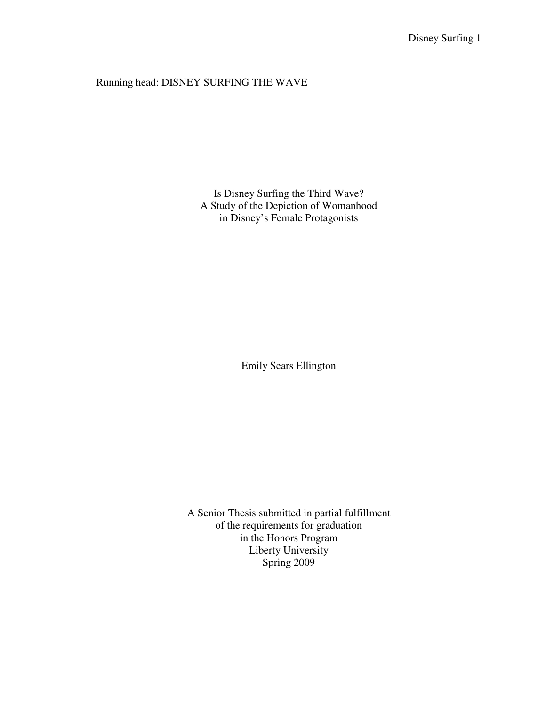# Running head: DISNEY SURFING THE WAVE

Is Disney Surfing the Third Wave? A Study of the Depiction of Womanhood in Disney's Female Protagonists

Emily Sears Ellington

A Senior Thesis submitted in partial fulfillment of the requirements for graduation in the Honors Program Liberty University Spring 2009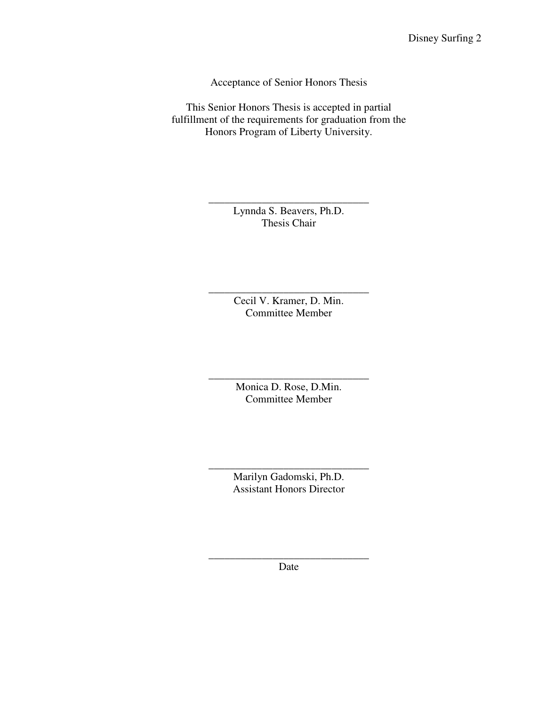Acceptance of Senior Honors Thesis

This Senior Honors Thesis is accepted in partial fulfillment of the requirements for graduation from the Honors Program of Liberty University.

> Lynnda S. Beavers, Ph.D. Thesis Chair

\_\_\_\_\_\_\_\_\_\_\_\_\_\_\_\_\_\_\_\_\_\_\_\_\_\_\_\_\_\_

Cecil V. Kramer, D. Min. Committee Member

\_\_\_\_\_\_\_\_\_\_\_\_\_\_\_\_\_\_\_\_\_\_\_\_\_\_\_\_\_\_

Monica D. Rose, D.Min. Committee Member

\_\_\_\_\_\_\_\_\_\_\_\_\_\_\_\_\_\_\_\_\_\_\_\_\_\_\_\_\_\_

Marilyn Gadomski, Ph.D. Assistant Honors Director

\_\_\_\_\_\_\_\_\_\_\_\_\_\_\_\_\_\_\_\_\_\_\_\_\_\_\_\_\_\_

\_\_\_\_\_\_\_\_\_\_\_\_\_\_\_\_\_\_\_\_\_\_\_\_\_\_\_\_\_\_ Date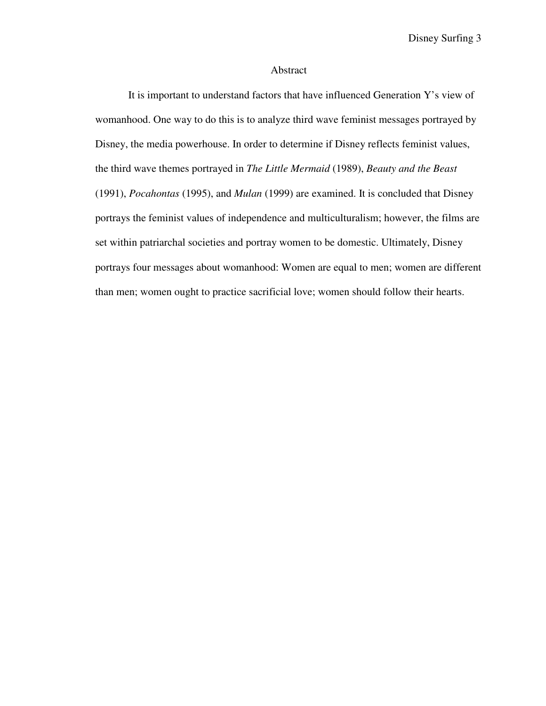#### Abstract

It is important to understand factors that have influenced Generation Y's view of womanhood. One way to do this is to analyze third wave feminist messages portrayed by Disney, the media powerhouse. In order to determine if Disney reflects feminist values, the third wave themes portrayed in *The Little Mermaid* (1989), *Beauty and the Beast* (1991), *Pocahontas* (1995), and *Mulan* (1999) are examined. It is concluded that Disney portrays the feminist values of independence and multiculturalism; however, the films are set within patriarchal societies and portray women to be domestic. Ultimately, Disney portrays four messages about womanhood: Women are equal to men; women are different than men; women ought to practice sacrificial love; women should follow their hearts.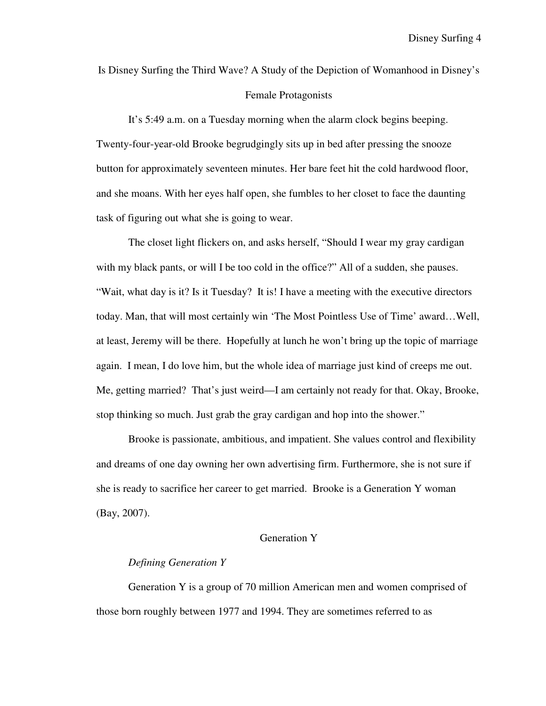Is Disney Surfing the Third Wave? A Study of the Depiction of Womanhood in Disney's

## Female Protagonists

It's 5:49 a.m. on a Tuesday morning when the alarm clock begins beeping. Twenty-four-year-old Brooke begrudgingly sits up in bed after pressing the snooze button for approximately seventeen minutes. Her bare feet hit the cold hardwood floor, and she moans. With her eyes half open, she fumbles to her closet to face the daunting task of figuring out what she is going to wear.

The closet light flickers on, and asks herself, "Should I wear my gray cardigan with my black pants, or will I be too cold in the office?" All of a sudden, she pauses. "Wait, what day is it? Is it Tuesday? It is! I have a meeting with the executive directors today. Man, that will most certainly win 'The Most Pointless Use of Time' award…Well, at least, Jeremy will be there. Hopefully at lunch he won't bring up the topic of marriage again. I mean, I do love him, but the whole idea of marriage just kind of creeps me out. Me, getting married? That's just weird—I am certainly not ready for that. Okay, Brooke, stop thinking so much. Just grab the gray cardigan and hop into the shower."

Brooke is passionate, ambitious, and impatient. She values control and flexibility and dreams of one day owning her own advertising firm. Furthermore, she is not sure if she is ready to sacrifice her career to get married. Brooke is a Generation Y woman (Bay, 2007).

#### Generation Y

#### *Defining Generation Y*

Generation Y is a group of 70 million American men and women comprised of those born roughly between 1977 and 1994. They are sometimes referred to as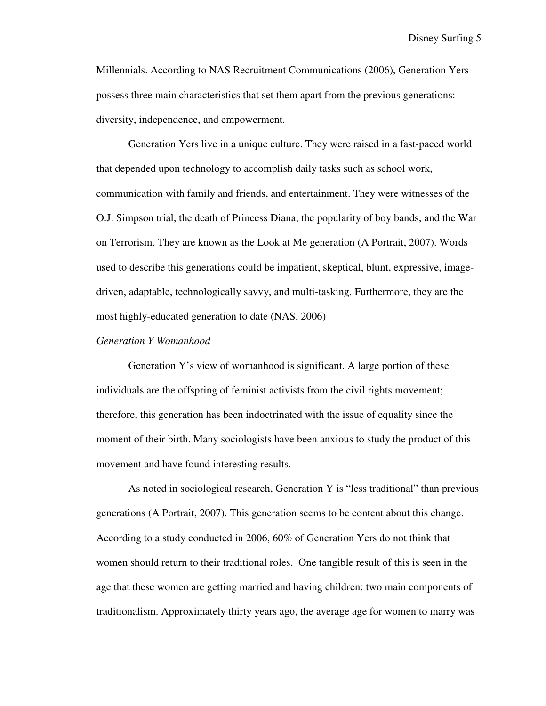Millennials. According to NAS Recruitment Communications (2006), Generation Yers possess three main characteristics that set them apart from the previous generations: diversity, independence, and empowerment.

Generation Yers live in a unique culture. They were raised in a fast-paced world that depended upon technology to accomplish daily tasks such as school work, communication with family and friends, and entertainment. They were witnesses of the O.J. Simpson trial, the death of Princess Diana, the popularity of boy bands, and the War on Terrorism. They are known as the Look at Me generation (A Portrait, 2007). Words used to describe this generations could be impatient, skeptical, blunt, expressive, imagedriven, adaptable, technologically savvy, and multi-tasking. Furthermore, they are the most highly-educated generation to date (NAS, 2006)

### *Generation Y Womanhood*

Generation Y's view of womanhood is significant. A large portion of these individuals are the offspring of feminist activists from the civil rights movement; therefore, this generation has been indoctrinated with the issue of equality since the moment of their birth. Many sociologists have been anxious to study the product of this movement and have found interesting results.

As noted in sociological research, Generation Y is "less traditional" than previous generations (A Portrait, 2007). This generation seems to be content about this change. According to a study conducted in 2006, 60% of Generation Yers do not think that women should return to their traditional roles. One tangible result of this is seen in the age that these women are getting married and having children: two main components of traditionalism. Approximately thirty years ago, the average age for women to marry was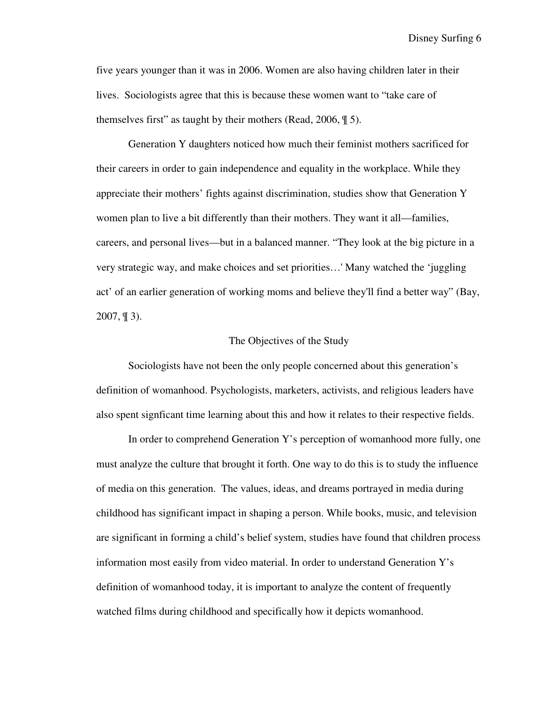Disney Surfing 6

five years younger than it was in 2006. Women are also having children later in their lives. Sociologists agree that this is because these women want to "take care of themselves first" as taught by their mothers (Read, 2006, ¶ 5).

Generation Y daughters noticed how much their feminist mothers sacrificed for their careers in order to gain independence and equality in the workplace. While they appreciate their mothers' fights against discrimination, studies show that Generation Y women plan to live a bit differently than their mothers. They want it all—families, careers, and personal lives—but in a balanced manner. "They look at the big picture in a very strategic way, and make choices and set priorities…' Many watched the 'juggling act' of an earlier generation of working moms and believe they'll find a better way" (Bay, 2007, ¶ 3).

#### The Objectives of the Study

Sociologists have not been the only people concerned about this generation's definition of womanhood. Psychologists, marketers, activists, and religious leaders have also spent signficant time learning about this and how it relates to their respective fields.

In order to comprehend Generation Y's perception of womanhood more fully, one must analyze the culture that brought it forth. One way to do this is to study the influence of media on this generation. The values, ideas, and dreams portrayed in media during childhood has significant impact in shaping a person. While books, music, and television are significant in forming a child's belief system, studies have found that children process information most easily from video material. In order to understand Generation Y's definition of womanhood today, it is important to analyze the content of frequently watched films during childhood and specifically how it depicts womanhood.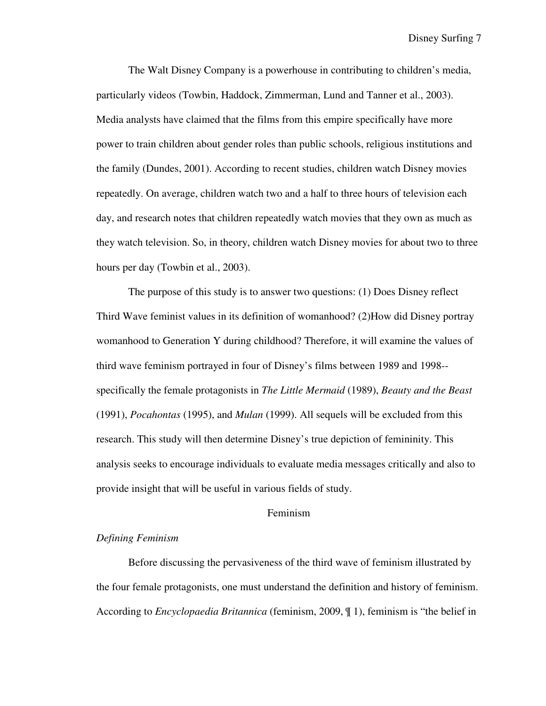The Walt Disney Company is a powerhouse in contributing to children's media, particularly videos (Towbin, Haddock, Zimmerman, Lund and Tanner et al., 2003). Media analysts have claimed that the films from this empire specifically have more power to train children about gender roles than public schools, religious institutions and the family (Dundes, 2001). According to recent studies, children watch Disney movies repeatedly. On average, children watch two and a half to three hours of television each day, and research notes that children repeatedly watch movies that they own as much as they watch television. So, in theory, children watch Disney movies for about two to three hours per day (Towbin et al., 2003).

 The purpose of this study is to answer two questions: (1) Does Disney reflect Third Wave feminist values in its definition of womanhood? (2)How did Disney portray womanhood to Generation Y during childhood? Therefore, it will examine the values of third wave feminism portrayed in four of Disney's films between 1989 and 1998- specifically the female protagonists in *The Little Mermaid* (1989), *Beauty and the Beast* (1991), *Pocahontas* (1995), and *Mulan* (1999). All sequels will be excluded from this research. This study will then determine Disney's true depiction of femininity. This analysis seeks to encourage individuals to evaluate media messages critically and also to provide insight that will be useful in various fields of study.

#### Feminism

## *Defining Feminism*

Before discussing the pervasiveness of the third wave of feminism illustrated by the four female protagonists, one must understand the definition and history of feminism. According to *Encyclopaedia Britannica* (feminism, 2009, ¶ 1), feminism is "the belief in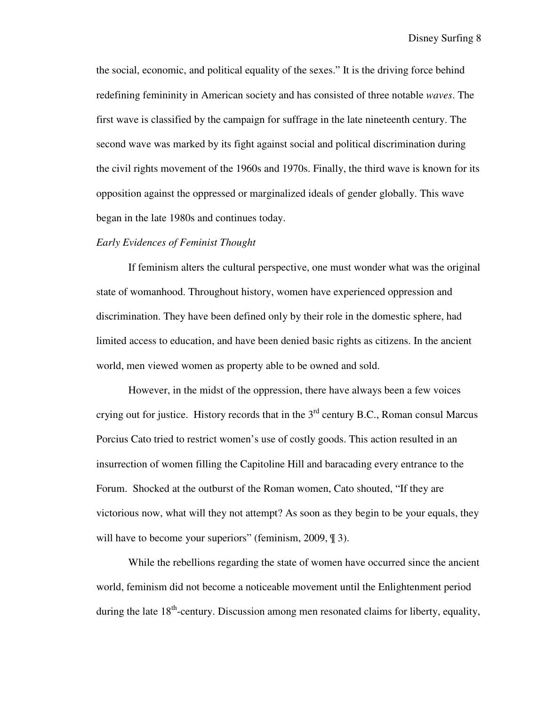the social, economic, and political equality of the sexes." It is the driving force behind redefining femininity in American society and has consisted of three notable *waves*. The first wave is classified by the campaign for suffrage in the late nineteenth century. The second wave was marked by its fight against social and political discrimination during the civil rights movement of the 1960s and 1970s. Finally, the third wave is known for its opposition against the oppressed or marginalized ideals of gender globally. This wave began in the late 1980s and continues today.

## *Early Evidences of Feminist Thought*

If feminism alters the cultural perspective, one must wonder what was the original state of womanhood. Throughout history, women have experienced oppression and discrimination. They have been defined only by their role in the domestic sphere, had limited access to education, and have been denied basic rights as citizens. In the ancient world, men viewed women as property able to be owned and sold.

However, in the midst of the oppression, there have always been a few voices crying out for justice. History records that in the  $3<sup>rd</sup>$  century B.C., Roman consul Marcus Porcius Cato tried to restrict women's use of costly goods. This action resulted in an insurrection of women filling the Capitoline Hill and baracading every entrance to the Forum. Shocked at the outburst of the Roman women, Cato shouted, "If they are victorious now, what will they not attempt? As soon as they begin to be your equals, they will have to become your superiors" (feminism, 2009,  $\parallel$  3).

While the rebellions regarding the state of women have occurred since the ancient world, feminism did not become a noticeable movement until the Enlightenment period during the late  $18<sup>th</sup>$ -century. Discussion among men resonated claims for liberty, equality,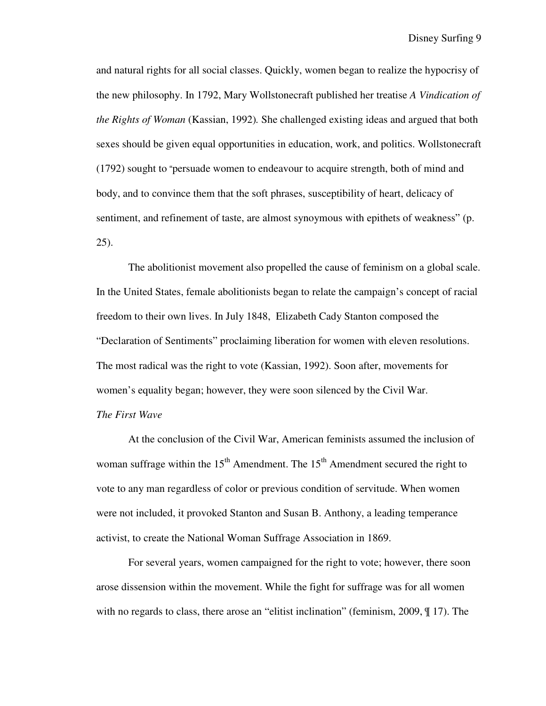and natural rights for all social classes. Quickly, women began to realize the hypocrisy of the new philosophy. In 1792, Mary Wollstonecraft published her treatise *A Vindication of the Rights of Woman* (Kassian, 1992)*.* She challenged existing ideas and argued that both sexes should be given equal opportunities in education, work, and politics. Wollstonecraft (1792) sought to "persuade women to endeavour to acquire strength, both of mind and body, and to convince them that the soft phrases, susceptibility of heart, delicacy of sentiment, and refinement of taste, are almost synoymous with epithets of weakness" (p. 25).

The abolitionist movement also propelled the cause of feminism on a global scale. In the United States, female abolitionists began to relate the campaign's concept of racial freedom to their own lives. In July 1848, Elizabeth Cady Stanton composed the "Declaration of Sentiments" proclaiming liberation for women with eleven resolutions. The most radical was the right to vote (Kassian, 1992). Soon after, movements for women's equality began; however, they were soon silenced by the Civil War. *The First Wave* 

At the conclusion of the Civil War, American feminists assumed the inclusion of woman suffrage within the  $15<sup>th</sup>$  Amendment. The  $15<sup>th</sup>$  Amendment secured the right to vote to any man regardless of color or previous condition of servitude. When women were not included, it provoked Stanton and Susan B. Anthony, a leading temperance activist, to create the National Woman Suffrage Association in 1869.

For several years, women campaigned for the right to vote; however, there soon arose dissension within the movement. While the fight for suffrage was for all women with no regards to class, there arose an "elitist inclination" (feminism, 2009,  $\parallel$  17). The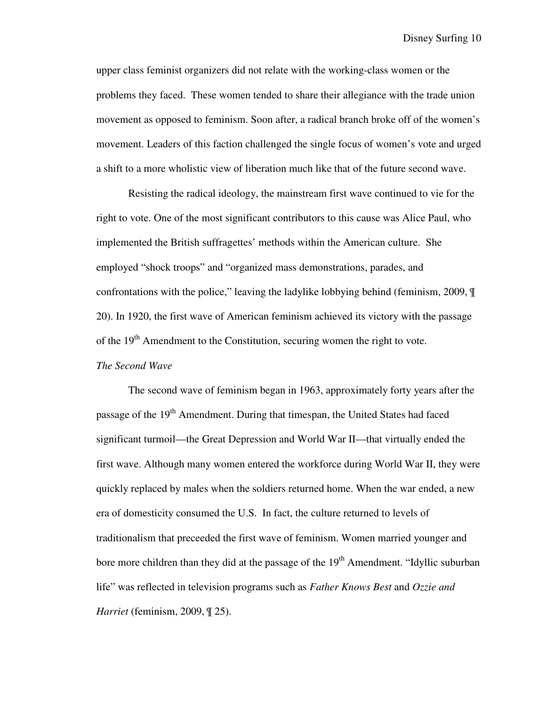upper class feminist organizers did not relate with the working-class women or the problems they faced. These women tended to share their allegiance with the trade union movement as opposed to feminism. Soon after, a radical branch broke off of the women's movement. Leaders of this faction challenged the single focus of women's vote and urged a shift to a more wholistic view of liberation much like that of the future second wave.

Resisting the radical ideology, the mainstream first wave continued to vie for the right to vote. One of the most significant contributors to this cause was Alice Paul, who implemented the British suffragettes' methods within the American culture. She employed "shock troops" and "organized mass demonstrations, parades, and confrontations with the police," leaving the ladylike lobbying behind (feminism, 2009, ¶ 20). In 1920, the first wave of American feminism achieved its victory with the passage of the 19<sup>th</sup> Amendment to the Constitution, securing women the right to vote.

## *The Second Wave*

The second wave of feminism began in 1963, approximately forty years after the passage of the 19<sup>th</sup> Amendment. During that timespan, the United States had faced significant turmoil—the Great Depression and World War II—that virtually ended the first wave. Although many women entered the workforce during World War II, they were quickly replaced by males when the soldiers returned home. When the war ended, a new era of domesticity consumed the U.S. In fact, the culture returned to levels of traditionalism that preceeded the first wave of feminism. Women married younger and bore more children than they did at the passage of the 19<sup>th</sup> Amendment. "Idyllic suburban life" was reflected in television programs such as *Father Knows Best* and *Ozzie and Harriet* (feminism, 2009, ¶ 25).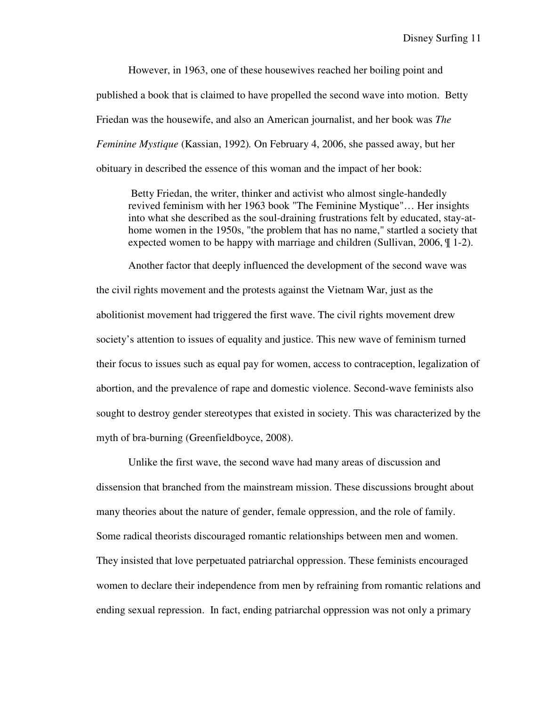However, in 1963, one of these housewives reached her boiling point and published a book that is claimed to have propelled the second wave into motion. Betty Friedan was the housewife, and also an American journalist, and her book was *The Feminine Mystique* (Kassian, 1992)*.* On February 4, 2006, she passed away, but her obituary in described the essence of this woman and the impact of her book:

 Betty Friedan, the writer, thinker and activist who almost single-handedly revived feminism with her 1963 book "The Feminine Mystique"… Her insights into what she described as the soul-draining frustrations felt by educated, stay-athome women in the 1950s, "the problem that has no name," startled a society that expected women to be happy with marriage and children (Sullivan, 2006, ¶ 1-2).

 Another factor that deeply influenced the development of the second wave was the civil rights movement and the protests against the Vietnam War, just as the abolitionist movement had triggered the first wave. The civil rights movement drew society's attention to issues of equality and justice. This new wave of feminism turned their focus to issues such as equal pay for women, access to contraception, legalization of abortion, and the prevalence of rape and domestic violence. Second-wave feminists also sought to destroy gender stereotypes that existed in society. This was characterized by the myth of bra-burning (Greenfieldboyce, 2008).

Unlike the first wave, the second wave had many areas of discussion and dissension that branched from the mainstream mission. These discussions brought about many theories about the nature of gender, female oppression, and the role of family. Some radical theorists discouraged romantic relationships between men and women. They insisted that love perpetuated patriarchal oppression. These feminists encouraged women to declare their independence from men by refraining from romantic relations and ending sexual repression. In fact, ending patriarchal oppression was not only a primary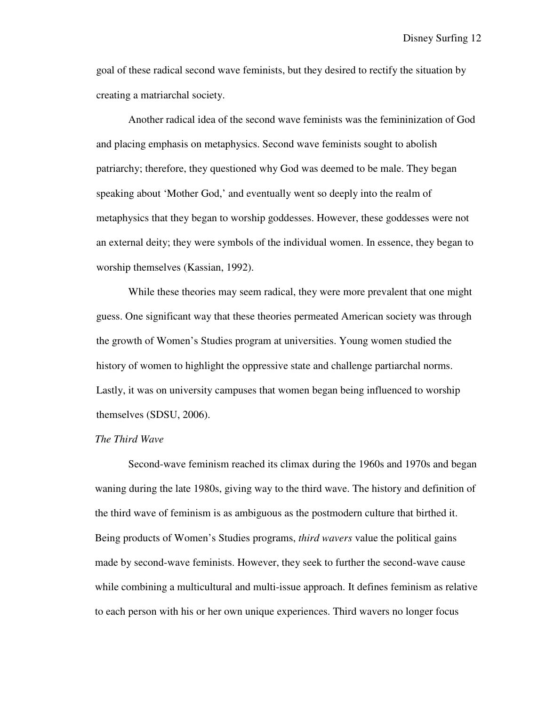goal of these radical second wave feminists, but they desired to rectify the situation by creating a matriarchal society.

Another radical idea of the second wave feminists was the femininization of God and placing emphasis on metaphysics. Second wave feminists sought to abolish patriarchy; therefore, they questioned why God was deemed to be male. They began speaking about 'Mother God,' and eventually went so deeply into the realm of metaphysics that they began to worship goddesses. However, these goddesses were not an external deity; they were symbols of the individual women. In essence, they began to worship themselves (Kassian, 1992).

While these theories may seem radical, they were more prevalent that one might guess. One significant way that these theories permeated American society was through the growth of Women's Studies program at universities. Young women studied the history of women to highlight the oppressive state and challenge partiarchal norms. Lastly, it was on university campuses that women began being influenced to worship themselves (SDSU, 2006).

## *The Third Wave*

Second-wave feminism reached its climax during the 1960s and 1970s and began waning during the late 1980s, giving way to the third wave. The history and definition of the third wave of feminism is as ambiguous as the postmodern culture that birthed it. Being products of Women's Studies programs, *third wavers* value the political gains made by second-wave feminists. However, they seek to further the second-wave cause while combining a multicultural and multi-issue approach. It defines feminism as relative to each person with his or her own unique experiences. Third wavers no longer focus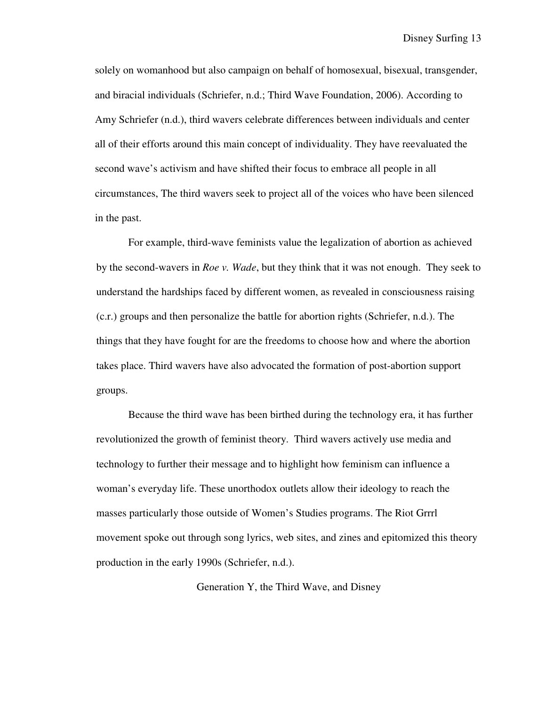solely on womanhood but also campaign on behalf of homosexual, bisexual, transgender, and biracial individuals (Schriefer, n.d.; Third Wave Foundation, 2006). According to Amy Schriefer (n.d.), third wavers celebrate differences between individuals and center all of their efforts around this main concept of individuality. They have reevaluated the second wave's activism and have shifted their focus to embrace all people in all circumstances, The third wavers seek to project all of the voices who have been silenced in the past.

 For example, third-wave feminists value the legalization of abortion as achieved by the second-wavers in *Roe v. Wade*, but they think that it was not enough. They seek to understand the hardships faced by different women, as revealed in consciousness raising (c.r.) groups and then personalize the battle for abortion rights (Schriefer, n.d.). The things that they have fought for are the freedoms to choose how and where the abortion takes place. Third wavers have also advocated the formation of post-abortion support groups.

Because the third wave has been birthed during the technology era, it has further revolutionized the growth of feminist theory. Third wavers actively use media and technology to further their message and to highlight how feminism can influence a woman's everyday life. These unorthodox outlets allow their ideology to reach the masses particularly those outside of Women's Studies programs. The Riot Grrrl movement spoke out through song lyrics, web sites, and zines and epitomized this theory production in the early 1990s (Schriefer, n.d.).

Generation Y, the Third Wave, and Disney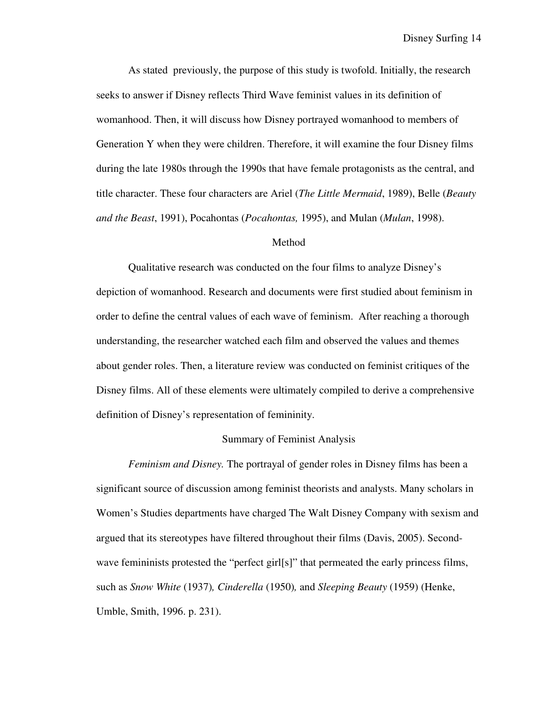As stated previously, the purpose of this study is twofold. Initially, the research seeks to answer if Disney reflects Third Wave feminist values in its definition of womanhood. Then, it will discuss how Disney portrayed womanhood to members of Generation Y when they were children. Therefore, it will examine the four Disney films during the late 1980s through the 1990s that have female protagonists as the central, and title character. These four characters are Ariel (*The Little Mermaid*, 1989), Belle (*Beauty and the Beast*, 1991), Pocahontas (*Pocahontas,* 1995), and Mulan (*Mulan*, 1998).

### Method

Qualitative research was conducted on the four films to analyze Disney's depiction of womanhood. Research and documents were first studied about feminism in order to define the central values of each wave of feminism. After reaching a thorough understanding, the researcher watched each film and observed the values and themes about gender roles. Then, a literature review was conducted on feminist critiques of the Disney films. All of these elements were ultimately compiled to derive a comprehensive definition of Disney's representation of femininity.

### Summary of Feminist Analysis

*Feminism and Disney.* The portrayal of gender roles in Disney films has been a significant source of discussion among feminist theorists and analysts. Many scholars in Women's Studies departments have charged The Walt Disney Company with sexism and argued that its stereotypes have filtered throughout their films (Davis, 2005). Secondwave femininists protested the "perfect girl[s]" that permeated the early princess films, such as *Snow White* (1937)*, Cinderella* (1950)*,* and *Sleeping Beauty* (1959) (Henke, Umble, Smith, 1996. p. 231).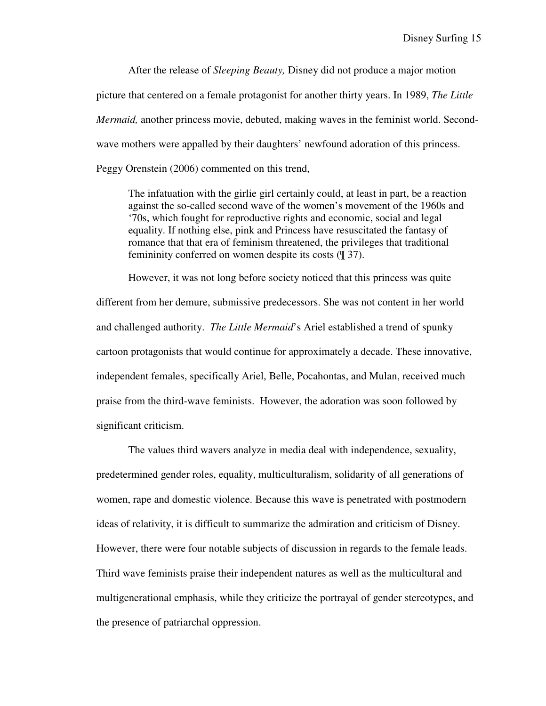After the release of *Sleeping Beauty,* Disney did not produce a major motion picture that centered on a female protagonist for another thirty years. In 1989, *The Little Mermaid,* another princess movie, debuted, making waves in the feminist world. Secondwave mothers were appalled by their daughters' newfound adoration of this princess. Peggy Orenstein (2006) commented on this trend,

The infatuation with the girlie girl certainly could, at least in part, be a reaction against the so-called second wave of the women's movement of the 1960s and '70s, which fought for reproductive rights and economic, social and legal equality. If nothing else, pink and Princess have resuscitated the fantasy of romance that that era of feminism threatened, the privileges that traditional femininity conferred on women despite its costs (¶ 37).

However, it was not long before society noticed that this princess was quite different from her demure, submissive predecessors. She was not content in her world and challenged authority. *The Little Mermaid*'s Ariel established a trend of spunky cartoon protagonists that would continue for approximately a decade. These innovative, independent females, specifically Ariel, Belle, Pocahontas, and Mulan, received much praise from the third-wave feminists. However, the adoration was soon followed by significant criticism.

The values third wavers analyze in media deal with independence, sexuality, predetermined gender roles, equality, multiculturalism, solidarity of all generations of women, rape and domestic violence. Because this wave is penetrated with postmodern ideas of relativity, it is difficult to summarize the admiration and criticism of Disney. However, there were four notable subjects of discussion in regards to the female leads. Third wave feminists praise their independent natures as well as the multicultural and multigenerational emphasis, while they criticize the portrayal of gender stereotypes, and the presence of patriarchal oppression.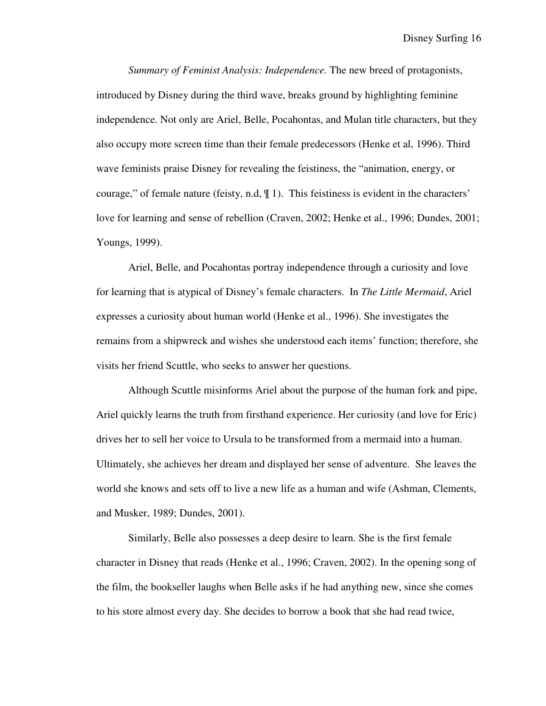*Summary of Feminist Analysis: Independence.* The new breed of protagonists, introduced by Disney during the third wave, breaks ground by highlighting feminine independence. Not only are Ariel, Belle, Pocahontas, and Mulan title characters, but they also occupy more screen time than their female predecessors (Henke et al, 1996). Third wave feminists praise Disney for revealing the feistiness, the "animation, energy, or courage," of female nature (feisty, n.d, ¶ 1). This feistiness is evident in the characters' love for learning and sense of rebellion (Craven, 2002; Henke et al., 1996; Dundes, 2001; Youngs, 1999).

Ariel, Belle, and Pocahontas portray independence through a curiosity and love for learning that is atypical of Disney's female characters. In *The Little Mermaid*, Ariel expresses a curiosity about human world (Henke et al., 1996). She investigates the remains from a shipwreck and wishes she understood each items' function; therefore, she visits her friend Scuttle, who seeks to answer her questions.

Although Scuttle misinforms Ariel about the purpose of the human fork and pipe, Ariel quickly learns the truth from firsthand experience. Her curiosity (and love for Eric) drives her to sell her voice to Ursula to be transformed from a mermaid into a human. Ultimately, she achieves her dream and displayed her sense of adventure. She leaves the world she knows and sets off to live a new life as a human and wife (Ashman, Clements, and Musker, 1989; Dundes, 2001).

Similarly, Belle also possesses a deep desire to learn. She is the first female character in Disney that reads (Henke et al., 1996; Craven, 2002). In the opening song of the film, the bookseller laughs when Belle asks if he had anything new, since she comes to his store almost every day. She decides to borrow a book that she had read twice,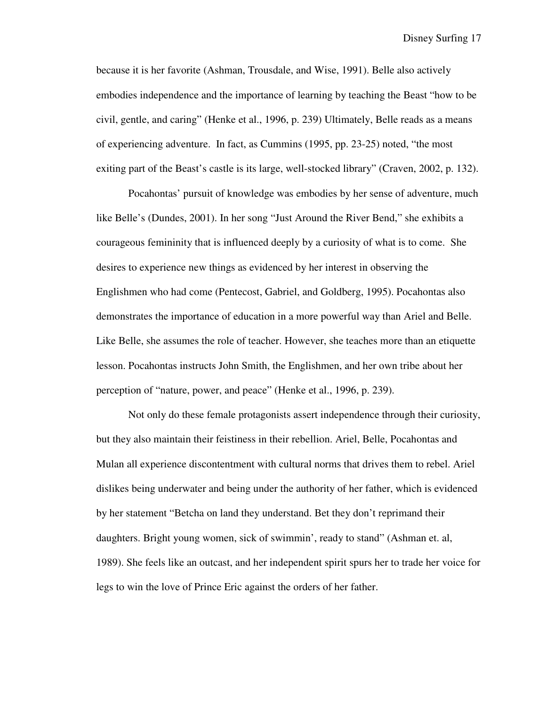Disney Surfing 17

because it is her favorite (Ashman, Trousdale, and Wise, 1991). Belle also actively embodies independence and the importance of learning by teaching the Beast "how to be civil, gentle, and caring" (Henke et al., 1996, p. 239) Ultimately, Belle reads as a means of experiencing adventure. In fact, as Cummins (1995, pp. 23-25) noted, "the most exiting part of the Beast's castle is its large, well-stocked library" (Craven, 2002, p. 132).

Pocahontas' pursuit of knowledge was embodies by her sense of adventure, much like Belle's (Dundes, 2001). In her song "Just Around the River Bend," she exhibits a courageous femininity that is influenced deeply by a curiosity of what is to come. She desires to experience new things as evidenced by her interest in observing the Englishmen who had come (Pentecost, Gabriel, and Goldberg, 1995). Pocahontas also demonstrates the importance of education in a more powerful way than Ariel and Belle. Like Belle, she assumes the role of teacher. However, she teaches more than an etiquette lesson. Pocahontas instructs John Smith, the Englishmen, and her own tribe about her perception of "nature, power, and peace" (Henke et al., 1996, p. 239).

Not only do these female protagonists assert independence through their curiosity, but they also maintain their feistiness in their rebellion. Ariel, Belle, Pocahontas and Mulan all experience discontentment with cultural norms that drives them to rebel. Ariel dislikes being underwater and being under the authority of her father, which is evidenced by her statement "Betcha on land they understand. Bet they don't reprimand their daughters. Bright young women, sick of swimmin', ready to stand" (Ashman et. al, 1989). She feels like an outcast, and her independent spirit spurs her to trade her voice for legs to win the love of Prince Eric against the orders of her father.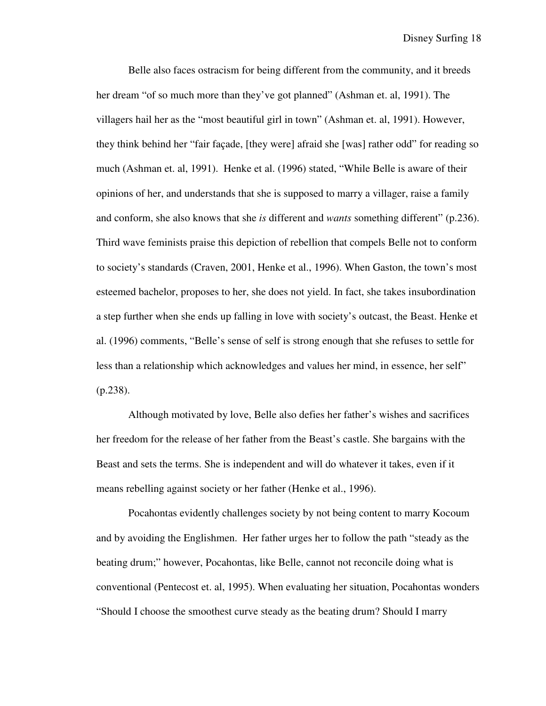Belle also faces ostracism for being different from the community, and it breeds her dream "of so much more than they've got planned" (Ashman et. al, 1991). The villagers hail her as the "most beautiful girl in town" (Ashman et. al, 1991). However, they think behind her "fair façade, [they were] afraid she [was] rather odd" for reading so much (Ashman et. al, 1991). Henke et al. (1996) stated, "While Belle is aware of their opinions of her, and understands that she is supposed to marry a villager, raise a family and conform, she also knows that she *is* different and *wants* something different" (p.236). Third wave feminists praise this depiction of rebellion that compels Belle not to conform to society's standards (Craven, 2001, Henke et al., 1996). When Gaston, the town's most esteemed bachelor, proposes to her, she does not yield. In fact, she takes insubordination a step further when she ends up falling in love with society's outcast, the Beast. Henke et al. (1996) comments, "Belle's sense of self is strong enough that she refuses to settle for less than a relationship which acknowledges and values her mind, in essence, her self" (p.238).

Although motivated by love, Belle also defies her father's wishes and sacrifices her freedom for the release of her father from the Beast's castle. She bargains with the Beast and sets the terms. She is independent and will do whatever it takes, even if it means rebelling against society or her father (Henke et al., 1996).

Pocahontas evidently challenges society by not being content to marry Kocoum and by avoiding the Englishmen. Her father urges her to follow the path "steady as the beating drum;" however, Pocahontas, like Belle, cannot not reconcile doing what is conventional (Pentecost et. al, 1995). When evaluating her situation, Pocahontas wonders "Should I choose the smoothest curve steady as the beating drum? Should I marry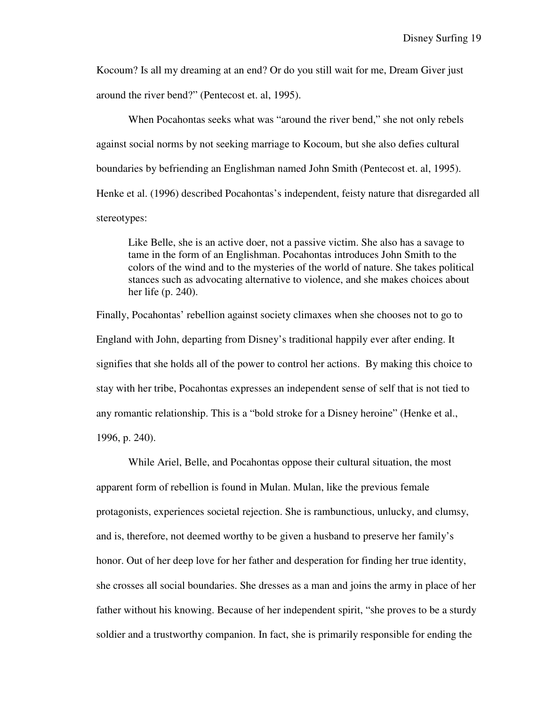Kocoum? Is all my dreaming at an end? Or do you still wait for me, Dream Giver just around the river bend?" (Pentecost et. al, 1995).

When Pocahontas seeks what was "around the river bend," she not only rebels against social norms by not seeking marriage to Kocoum, but she also defies cultural boundaries by befriending an Englishman named John Smith (Pentecost et. al, 1995). Henke et al. (1996) described Pocahontas's independent, feisty nature that disregarded all stereotypes:

Like Belle, she is an active doer, not a passive victim. She also has a savage to tame in the form of an Englishman. Pocahontas introduces John Smith to the colors of the wind and to the mysteries of the world of nature. She takes political stances such as advocating alternative to violence, and she makes choices about her life (p. 240).

Finally, Pocahontas' rebellion against society climaxes when she chooses not to go to England with John, departing from Disney's traditional happily ever after ending. It signifies that she holds all of the power to control her actions. By making this choice to stay with her tribe, Pocahontas expresses an independent sense of self that is not tied to any romantic relationship. This is a "bold stroke for a Disney heroine" (Henke et al., 1996, p. 240).

While Ariel, Belle, and Pocahontas oppose their cultural situation, the most apparent form of rebellion is found in Mulan. Mulan, like the previous female protagonists, experiences societal rejection. She is rambunctious, unlucky, and clumsy, and is, therefore, not deemed worthy to be given a husband to preserve her family's honor. Out of her deep love for her father and desperation for finding her true identity, she crosses all social boundaries. She dresses as a man and joins the army in place of her father without his knowing. Because of her independent spirit, "she proves to be a sturdy soldier and a trustworthy companion. In fact, she is primarily responsible for ending the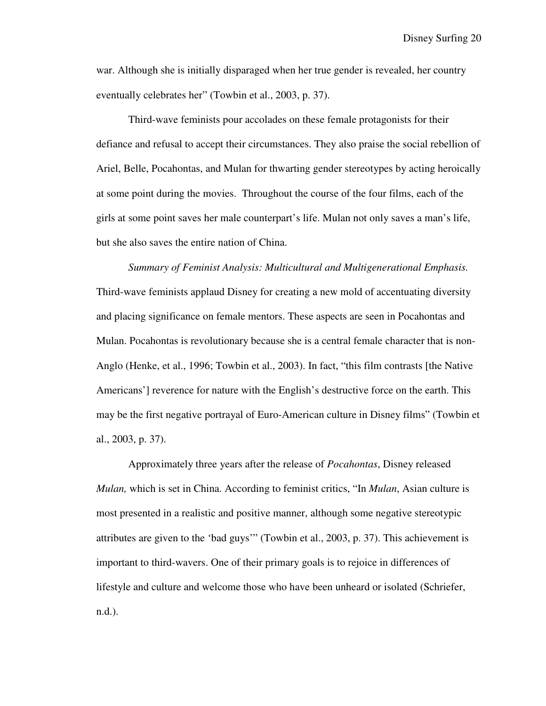war. Although she is initially disparaged when her true gender is revealed, her country eventually celebrates her" (Towbin et al., 2003, p. 37).

Third-wave feminists pour accolades on these female protagonists for their defiance and refusal to accept their circumstances. They also praise the social rebellion of Ariel, Belle, Pocahontas, and Mulan for thwarting gender stereotypes by acting heroically at some point during the movies. Throughout the course of the four films, each of the girls at some point saves her male counterpart's life. Mulan not only saves a man's life, but she also saves the entire nation of China.

*Summary of Feminist Analysis: Multicultural and Multigenerational Emphasis.*  Third-wave feminists applaud Disney for creating a new mold of accentuating diversity and placing significance on female mentors. These aspects are seen in Pocahontas and Mulan. Pocahontas is revolutionary because she is a central female character that is non-Anglo (Henke, et al., 1996; Towbin et al., 2003). In fact, "this film contrasts [the Native Americans'] reverence for nature with the English's destructive force on the earth. This may be the first negative portrayal of Euro-American culture in Disney films" (Towbin et al., 2003, p. 37).

Approximately three years after the release of *Pocahontas*, Disney released *Mulan,* which is set in China. According to feminist critics, "In *Mulan*, Asian culture is most presented in a realistic and positive manner, although some negative stereotypic attributes are given to the 'bad guys'" (Towbin et al., 2003, p. 37). This achievement is important to third-wavers. One of their primary goals is to rejoice in differences of lifestyle and culture and welcome those who have been unheard or isolated (Schriefer, n.d.).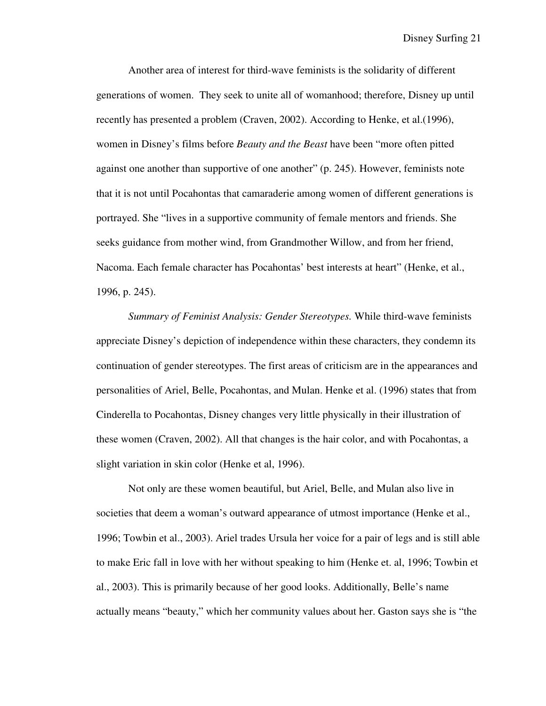Another area of interest for third-wave feminists is the solidarity of different generations of women. They seek to unite all of womanhood; therefore, Disney up until recently has presented a problem (Craven, 2002). According to Henke, et al.(1996), women in Disney's films before *Beauty and the Beast* have been "more often pitted against one another than supportive of one another" (p. 245). However, feminists note that it is not until Pocahontas that camaraderie among women of different generations is portrayed. She "lives in a supportive community of female mentors and friends. She seeks guidance from mother wind, from Grandmother Willow, and from her friend, Nacoma. Each female character has Pocahontas' best interests at heart" (Henke, et al., 1996, p. 245).

*Summary of Feminist Analysis: Gender Stereotypes.* While third-wave feminists appreciate Disney's depiction of independence within these characters, they condemn its continuation of gender stereotypes. The first areas of criticism are in the appearances and personalities of Ariel, Belle, Pocahontas, and Mulan. Henke et al. (1996) states that from Cinderella to Pocahontas, Disney changes very little physically in their illustration of these women (Craven, 2002). All that changes is the hair color, and with Pocahontas, a slight variation in skin color (Henke et al, 1996).

Not only are these women beautiful, but Ariel, Belle, and Mulan also live in societies that deem a woman's outward appearance of utmost importance (Henke et al., 1996; Towbin et al., 2003). Ariel trades Ursula her voice for a pair of legs and is still able to make Eric fall in love with her without speaking to him (Henke et. al, 1996; Towbin et al., 2003). This is primarily because of her good looks. Additionally, Belle's name actually means "beauty," which her community values about her. Gaston says she is "the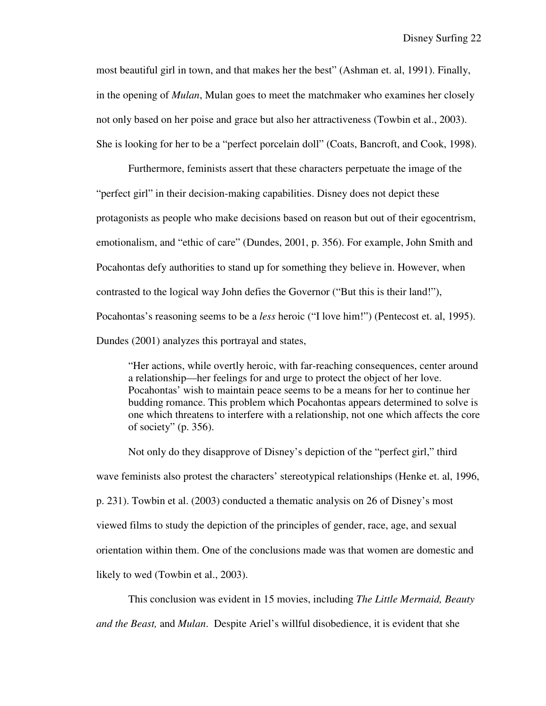most beautiful girl in town, and that makes her the best" (Ashman et. al, 1991). Finally, in the opening of *Mulan*, Mulan goes to meet the matchmaker who examines her closely not only based on her poise and grace but also her attractiveness (Towbin et al., 2003). She is looking for her to be a "perfect porcelain doll" (Coats, Bancroft, and Cook, 1998).

Furthermore, feminists assert that these characters perpetuate the image of the "perfect girl" in their decision-making capabilities. Disney does not depict these protagonists as people who make decisions based on reason but out of their egocentrism, emotionalism, and "ethic of care" (Dundes, 2001, p. 356). For example, John Smith and Pocahontas defy authorities to stand up for something they believe in. However, when contrasted to the logical way John defies the Governor ("But this is their land!"), Pocahontas's reasoning seems to be a *less* heroic ("I love him!") (Pentecost et. al, 1995). Dundes (2001) analyzes this portrayal and states,

"Her actions, while overtly heroic, with far-reaching consequences, center around a relationship—her feelings for and urge to protect the object of her love. Pocahontas' wish to maintain peace seems to be a means for her to continue her budding romance. This problem which Pocahontas appears determined to solve is one which threatens to interfere with a relationship, not one which affects the core of society" (p. 356).

Not only do they disapprove of Disney's depiction of the "perfect girl," third wave feminists also protest the characters' stereotypical relationships (Henke et. al, 1996, p. 231). Towbin et al. (2003) conducted a thematic analysis on 26 of Disney's most viewed films to study the depiction of the principles of gender, race, age, and sexual orientation within them. One of the conclusions made was that women are domestic and likely to wed (Towbin et al., 2003).

This conclusion was evident in 15 movies, including *The Little Mermaid, Beauty and the Beast,* and *Mulan*. Despite Ariel's willful disobedience, it is evident that she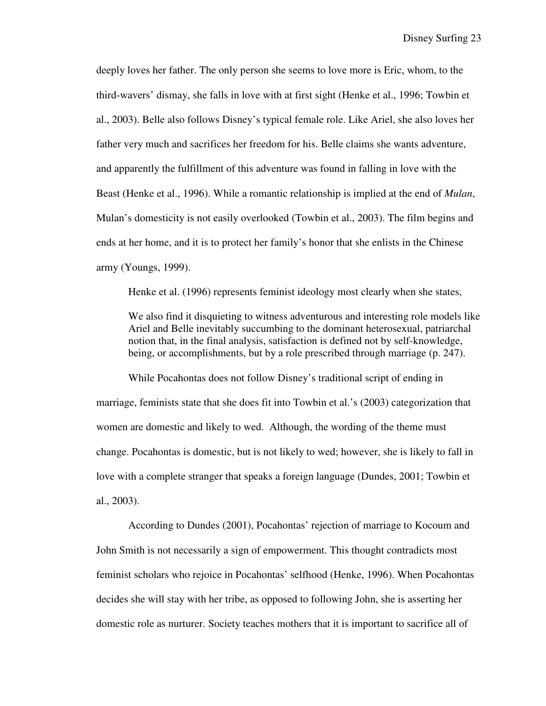deeply loves her father. The only person she seems to love more is Eric, whom, to the third-wavers' dismay, she falls in love with at first sight (Henke et al., 1996; Towbin et al., 2003). Belle also follows Disney's typical female role. Like Ariel, she also loves her father very much and sacrifices her freedom for his. Belle claims she wants adventure, and apparently the fulfillment of this adventure was found in falling in love with the Beast (Henke et al., 1996). While a romantic relationship is implied at the end of *Mulan*, Mulan's domesticity is not easily overlooked (Towbin et al., 2003). The film begins and ends at her home, and it is to protect her family's honor that she enlists in the Chinese army (Youngs, 1999).

Henke et al. (1996) represents feminist ideology most clearly when she states,

We also find it disquieting to witness adventurous and interesting role models like Ariel and Belle inevitably succumbing to the dominant heterosexual, patriarchal notion that, in the final analysis, satisfaction is defined not by self-knowledge, being, or accomplishments, but by a role prescribed through marriage (p. 247).

While Pocahontas does not follow Disney's traditional script of ending in marriage, feminists state that she does fit into Towbin et al.'s (2003) categorization that women are domestic and likely to wed. Although, the wording of the theme must change. Pocahontas is domestic, but is not likely to wed; however, she is likely to fall in love with a complete stranger that speaks a foreign language (Dundes, 2001; Towbin et al., 2003).

According to Dundes (2001), Pocahontas' rejection of marriage to Kocoum and John Smith is not necessarily a sign of empowerment. This thought contradicts most feminist scholars who rejoice in Pocahontas' selfhood (Henke, 1996). When Pocahontas decides she will stay with her tribe, as opposed to following John, she is asserting her domestic role as nurturer. Society teaches mothers that it is important to sacrifice all of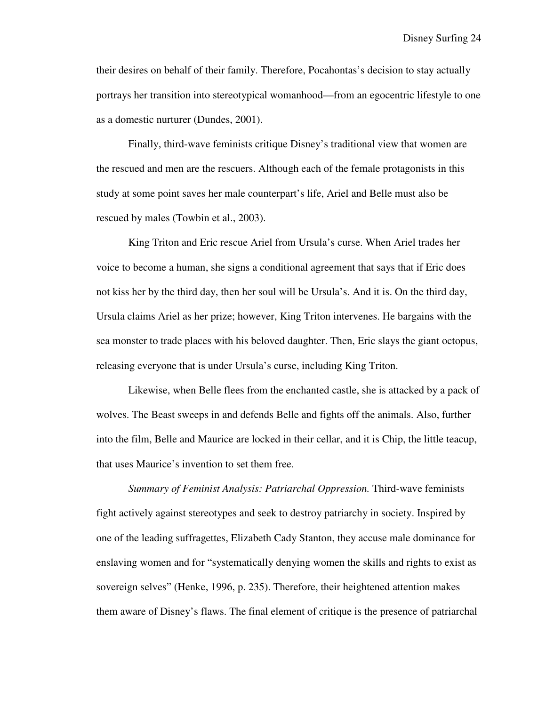their desires on behalf of their family. Therefore, Pocahontas's decision to stay actually portrays her transition into stereotypical womanhood—from an egocentric lifestyle to one as a domestic nurturer (Dundes, 2001).

Finally, third-wave feminists critique Disney's traditional view that women are the rescued and men are the rescuers. Although each of the female protagonists in this study at some point saves her male counterpart's life, Ariel and Belle must also be rescued by males (Towbin et al., 2003).

King Triton and Eric rescue Ariel from Ursula's curse. When Ariel trades her voice to become a human, she signs a conditional agreement that says that if Eric does not kiss her by the third day, then her soul will be Ursula's. And it is. On the third day, Ursula claims Ariel as her prize; however, King Triton intervenes. He bargains with the sea monster to trade places with his beloved daughter. Then, Eric slays the giant octopus, releasing everyone that is under Ursula's curse, including King Triton.

Likewise, when Belle flees from the enchanted castle, she is attacked by a pack of wolves. The Beast sweeps in and defends Belle and fights off the animals. Also, further into the film, Belle and Maurice are locked in their cellar, and it is Chip, the little teacup, that uses Maurice's invention to set them free.

*Summary of Feminist Analysis: Patriarchal Oppression.* Third-wave feminists fight actively against stereotypes and seek to destroy patriarchy in society. Inspired by one of the leading suffragettes, Elizabeth Cady Stanton, they accuse male dominance for enslaving women and for "systematically denying women the skills and rights to exist as sovereign selves" (Henke, 1996, p. 235). Therefore, their heightened attention makes them aware of Disney's flaws. The final element of critique is the presence of patriarchal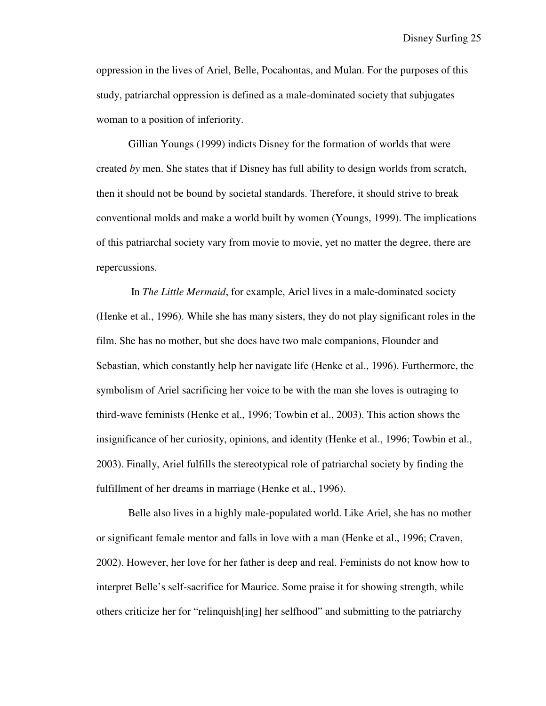Disney Surfing 25

oppression in the lives of Ariel, Belle, Pocahontas, and Mulan. For the purposes of this study, patriarchal oppression is defined as a male-dominated society that subjugates woman to a position of inferiority.

Gillian Youngs (1999) indicts Disney for the formation of worlds that were created *by* men. She states that if Disney has full ability to design worlds from scratch, then it should not be bound by societal standards. Therefore, it should strive to break conventional molds and make a world built by women (Youngs, 1999). The implications of this patriarchal society vary from movie to movie, yet no matter the degree, there are repercussions.

 In *The Little Mermaid*, for example, Ariel lives in a male-dominated society (Henke et al., 1996). While she has many sisters, they do not play significant roles in the film. She has no mother, but she does have two male companions, Flounder and Sebastian, which constantly help her navigate life (Henke et al., 1996). Furthermore, the symbolism of Ariel sacrificing her voice to be with the man she loves is outraging to third-wave feminists (Henke et al., 1996; Towbin et al., 2003). This action shows the insignificance of her curiosity, opinions, and identity (Henke et al., 1996; Towbin et al., 2003). Finally, Ariel fulfills the stereotypical role of patriarchal society by finding the fulfillment of her dreams in marriage (Henke et al., 1996).

Belle also lives in a highly male-populated world. Like Ariel, she has no mother or significant female mentor and falls in love with a man (Henke et al., 1996; Craven, 2002). However, her love for her father is deep and real. Feminists do not know how to interpret Belle's self-sacrifice for Maurice. Some praise it for showing strength, while others criticize her for "relinquish[ing] her selfhood" and submitting to the patriarchy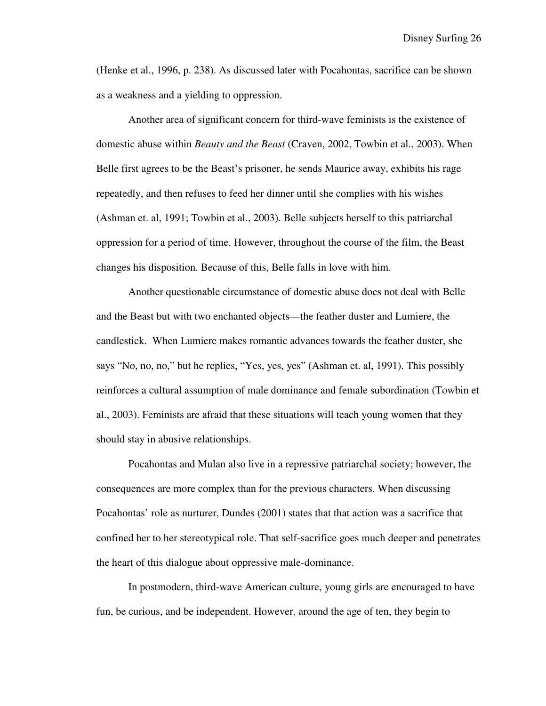(Henke et al., 1996, p. 238). As discussed later with Pocahontas, sacrifice can be shown as a weakness and a yielding to oppression.

Another area of significant concern for third-wave feminists is the existence of domestic abuse within *Beauty and the Beast* (Craven, 2002, Towbin et al., 2003). When Belle first agrees to be the Beast's prisoner, he sends Maurice away, exhibits his rage repeatedly, and then refuses to feed her dinner until she complies with his wishes (Ashman et. al, 1991; Towbin et al., 2003). Belle subjects herself to this patriarchal oppression for a period of time. However, throughout the course of the film, the Beast changes his disposition. Because of this, Belle falls in love with him.

Another questionable circumstance of domestic abuse does not deal with Belle and the Beast but with two enchanted objects—the feather duster and Lumiere, the candlestick. When Lumiere makes romantic advances towards the feather duster, she says "No, no, no," but he replies, "Yes, yes, yes" (Ashman et. al, 1991). This possibly reinforces a cultural assumption of male dominance and female subordination (Towbin et al., 2003). Feminists are afraid that these situations will teach young women that they should stay in abusive relationships.

Pocahontas and Mulan also live in a repressive patriarchal society; however, the consequences are more complex than for the previous characters. When discussing Pocahontas' role as nurturer, Dundes (2001) states that that action was a sacrifice that confined her to her stereotypical role. That self-sacrifice goes much deeper and penetrates the heart of this dialogue about oppressive male-dominance.

In postmodern, third-wave American culture, young girls are encouraged to have fun, be curious, and be independent. However, around the age of ten, they begin to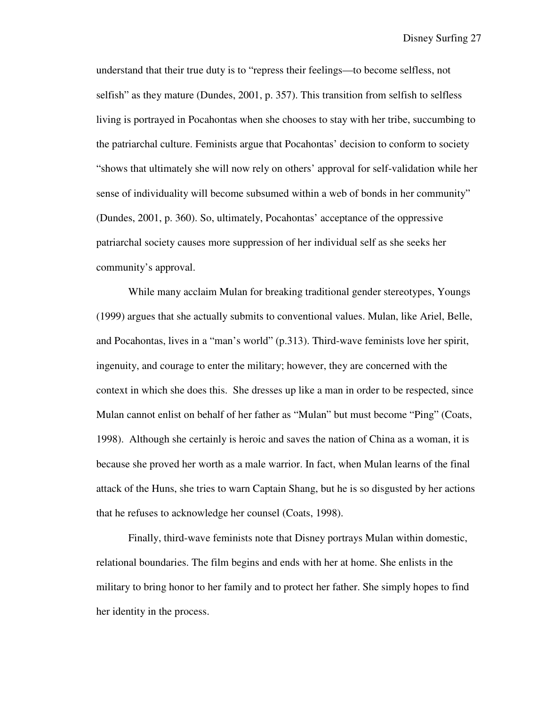understand that their true duty is to "repress their feelings—to become selfless, not selfish" as they mature (Dundes, 2001, p. 357). This transition from selfish to selfless living is portrayed in Pocahontas when she chooses to stay with her tribe, succumbing to the patriarchal culture. Feminists argue that Pocahontas' decision to conform to society "shows that ultimately she will now rely on others' approval for self-validation while her sense of individuality will become subsumed within a web of bonds in her community" (Dundes, 2001, p. 360). So, ultimately, Pocahontas' acceptance of the oppressive patriarchal society causes more suppression of her individual self as she seeks her community's approval.

While many acclaim Mulan for breaking traditional gender stereotypes, Youngs (1999) argues that she actually submits to conventional values. Mulan, like Ariel, Belle, and Pocahontas, lives in a "man's world" (p.313). Third-wave feminists love her spirit, ingenuity, and courage to enter the military; however, they are concerned with the context in which she does this. She dresses up like a man in order to be respected, since Mulan cannot enlist on behalf of her father as "Mulan" but must become "Ping" (Coats, 1998). Although she certainly is heroic and saves the nation of China as a woman, it is because she proved her worth as a male warrior. In fact, when Mulan learns of the final attack of the Huns, she tries to warn Captain Shang, but he is so disgusted by her actions that he refuses to acknowledge her counsel (Coats, 1998).

Finally, third-wave feminists note that Disney portrays Mulan within domestic, relational boundaries. The film begins and ends with her at home. She enlists in the military to bring honor to her family and to protect her father. She simply hopes to find her identity in the process.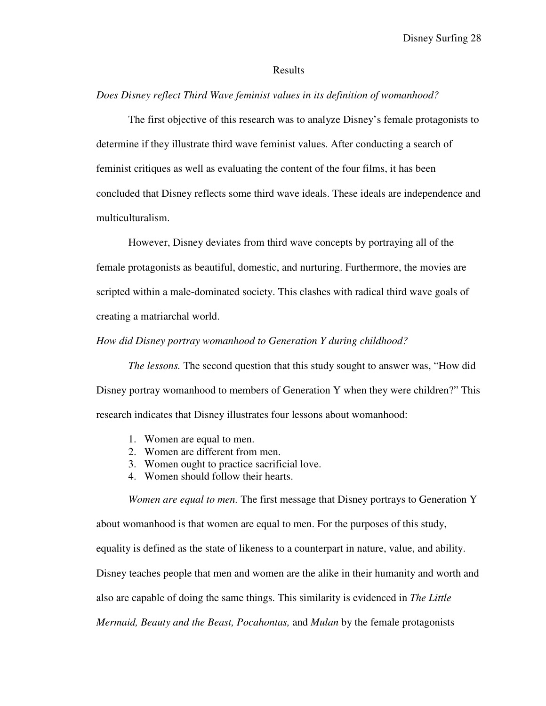## Results

*Does Disney reflect Third Wave feminist values in its definition of womanhood?* 

The first objective of this research was to analyze Disney's female protagonists to determine if they illustrate third wave feminist values. After conducting a search of feminist critiques as well as evaluating the content of the four films, it has been concluded that Disney reflects some third wave ideals. These ideals are independence and multiculturalism.

 However, Disney deviates from third wave concepts by portraying all of the female protagonists as beautiful, domestic, and nurturing. Furthermore, the movies are scripted within a male-dominated society. This clashes with radical third wave goals of creating a matriarchal world.

#### *How did Disney portray womanhood to Generation Y during childhood?*

*The lessons.* The second question that this study sought to answer was, "How did Disney portray womanhood to members of Generation Y when they were children?" This research indicates that Disney illustrates four lessons about womanhood:

- 1. Women are equal to men.
- 2. Women are different from men.
- 3. Women ought to practice sacrificial love.
- 4. Women should follow their hearts.

 *Women are equal to men.* The first message that Disney portrays to Generation Y about womanhood is that women are equal to men. For the purposes of this study, equality is defined as the state of likeness to a counterpart in nature, value, and ability. Disney teaches people that men and women are the alike in their humanity and worth and also are capable of doing the same things. This similarity is evidenced in *The Little Mermaid, Beauty and the Beast, Pocahontas,* and *Mulan* by the female protagonists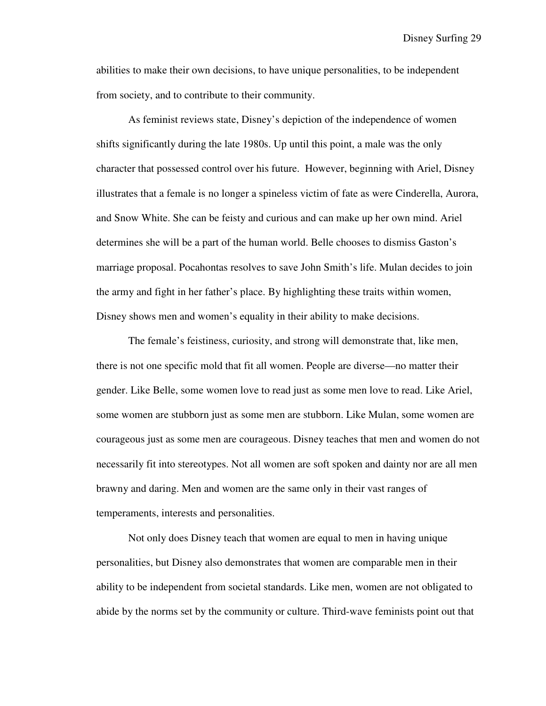Disney Surfing 29

abilities to make their own decisions, to have unique personalities, to be independent from society, and to contribute to their community.

 As feminist reviews state, Disney's depiction of the independence of women shifts significantly during the late 1980s. Up until this point, a male was the only character that possessed control over his future. However, beginning with Ariel, Disney illustrates that a female is no longer a spineless victim of fate as were Cinderella, Aurora, and Snow White. She can be feisty and curious and can make up her own mind. Ariel determines she will be a part of the human world. Belle chooses to dismiss Gaston's marriage proposal. Pocahontas resolves to save John Smith's life. Mulan decides to join the army and fight in her father's place. By highlighting these traits within women, Disney shows men and women's equality in their ability to make decisions.

 The female's feistiness, curiosity, and strong will demonstrate that, like men, there is not one specific mold that fit all women. People are diverse—no matter their gender. Like Belle, some women love to read just as some men love to read. Like Ariel, some women are stubborn just as some men are stubborn. Like Mulan, some women are courageous just as some men are courageous. Disney teaches that men and women do not necessarily fit into stereotypes. Not all women are soft spoken and dainty nor are all men brawny and daring. Men and women are the same only in their vast ranges of temperaments, interests and personalities.

 Not only does Disney teach that women are equal to men in having unique personalities, but Disney also demonstrates that women are comparable men in their ability to be independent from societal standards. Like men, women are not obligated to abide by the norms set by the community or culture. Third-wave feminists point out that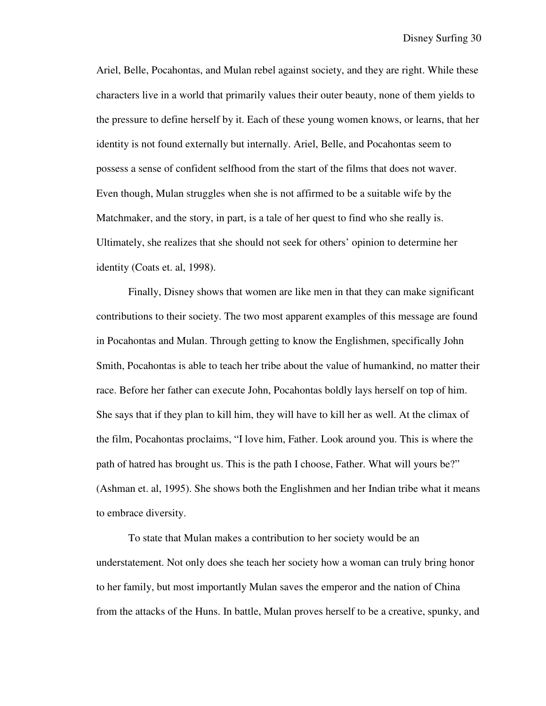Ariel, Belle, Pocahontas, and Mulan rebel against society, and they are right. While these characters live in a world that primarily values their outer beauty, none of them yields to the pressure to define herself by it. Each of these young women knows, or learns, that her identity is not found externally but internally. Ariel, Belle, and Pocahontas seem to possess a sense of confident selfhood from the start of the films that does not waver. Even though, Mulan struggles when she is not affirmed to be a suitable wife by the Matchmaker, and the story, in part, is a tale of her quest to find who she really is. Ultimately, she realizes that she should not seek for others' opinion to determine her identity (Coats et. al, 1998).

 Finally, Disney shows that women are like men in that they can make significant contributions to their society. The two most apparent examples of this message are found in Pocahontas and Mulan. Through getting to know the Englishmen, specifically John Smith, Pocahontas is able to teach her tribe about the value of humankind, no matter their race. Before her father can execute John, Pocahontas boldly lays herself on top of him. She says that if they plan to kill him, they will have to kill her as well. At the climax of the film, Pocahontas proclaims, "I love him, Father. Look around you. This is where the path of hatred has brought us. This is the path I choose, Father. What will yours be?" (Ashman et. al, 1995). She shows both the Englishmen and her Indian tribe what it means to embrace diversity.

 To state that Mulan makes a contribution to her society would be an understatement. Not only does she teach her society how a woman can truly bring honor to her family, but most importantly Mulan saves the emperor and the nation of China from the attacks of the Huns. In battle, Mulan proves herself to be a creative, spunky, and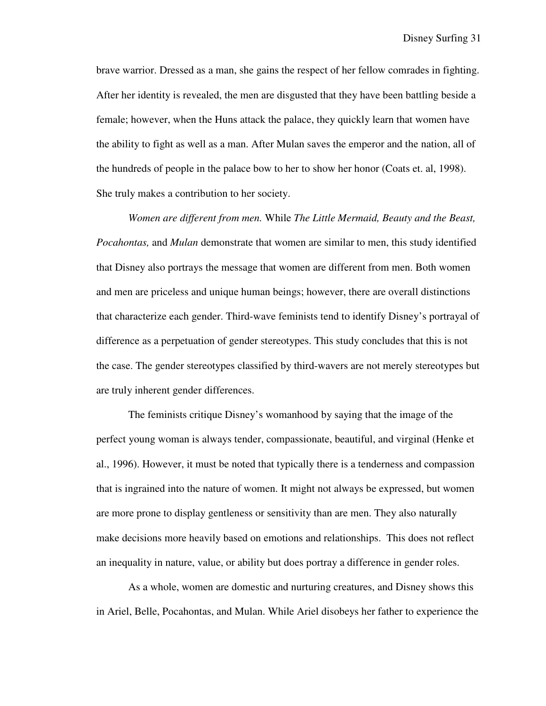brave warrior. Dressed as a man, she gains the respect of her fellow comrades in fighting. After her identity is revealed, the men are disgusted that they have been battling beside a female; however, when the Huns attack the palace, they quickly learn that women have the ability to fight as well as a man. After Mulan saves the emperor and the nation, all of the hundreds of people in the palace bow to her to show her honor (Coats et. al, 1998). She truly makes a contribution to her society.

 *Women are different from men.* While *The Little Mermaid, Beauty and the Beast, Pocahontas,* and *Mulan* demonstrate that women are similar to men, this study identified that Disney also portrays the message that women are different from men. Both women and men are priceless and unique human beings; however, there are overall distinctions that characterize each gender. Third-wave feminists tend to identify Disney's portrayal of difference as a perpetuation of gender stereotypes. This study concludes that this is not the case. The gender stereotypes classified by third-wavers are not merely stereotypes but are truly inherent gender differences.

 The feminists critique Disney's womanhood by saying that the image of the perfect young woman is always tender, compassionate, beautiful, and virginal (Henke et al., 1996). However, it must be noted that typically there is a tenderness and compassion that is ingrained into the nature of women. It might not always be expressed, but women are more prone to display gentleness or sensitivity than are men. They also naturally make decisions more heavily based on emotions and relationships. This does not reflect an inequality in nature, value, or ability but does portray a difference in gender roles.

 As a whole, women are domestic and nurturing creatures, and Disney shows this in Ariel, Belle, Pocahontas, and Mulan. While Ariel disobeys her father to experience the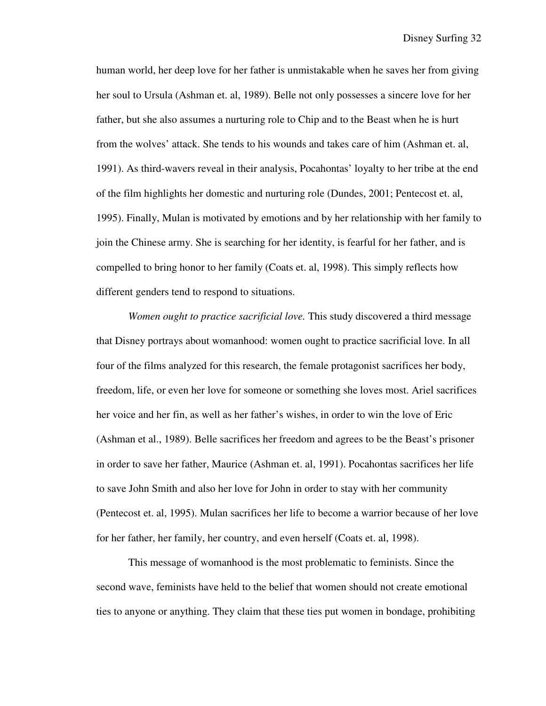human world, her deep love for her father is unmistakable when he saves her from giving her soul to Ursula (Ashman et. al, 1989). Belle not only possesses a sincere love for her father, but she also assumes a nurturing role to Chip and to the Beast when he is hurt from the wolves' attack. She tends to his wounds and takes care of him (Ashman et. al, 1991). As third-wavers reveal in their analysis, Pocahontas' loyalty to her tribe at the end of the film highlights her domestic and nurturing role (Dundes, 2001; Pentecost et. al, 1995). Finally, Mulan is motivated by emotions and by her relationship with her family to join the Chinese army. She is searching for her identity, is fearful for her father, and is compelled to bring honor to her family (Coats et. al, 1998). This simply reflects how different genders tend to respond to situations.

 *Women ought to practice sacrificial love.* This study discovered a third message that Disney portrays about womanhood: women ought to practice sacrificial love. In all four of the films analyzed for this research, the female protagonist sacrifices her body, freedom, life, or even her love for someone or something she loves most. Ariel sacrifices her voice and her fin, as well as her father's wishes, in order to win the love of Eric (Ashman et al., 1989). Belle sacrifices her freedom and agrees to be the Beast's prisoner in order to save her father, Maurice (Ashman et. al, 1991). Pocahontas sacrifices her life to save John Smith and also her love for John in order to stay with her community (Pentecost et. al, 1995). Mulan sacrifices her life to become a warrior because of her love for her father, her family, her country, and even herself (Coats et. al, 1998).

 This message of womanhood is the most problematic to feminists. Since the second wave, feminists have held to the belief that women should not create emotional ties to anyone or anything. They claim that these ties put women in bondage, prohibiting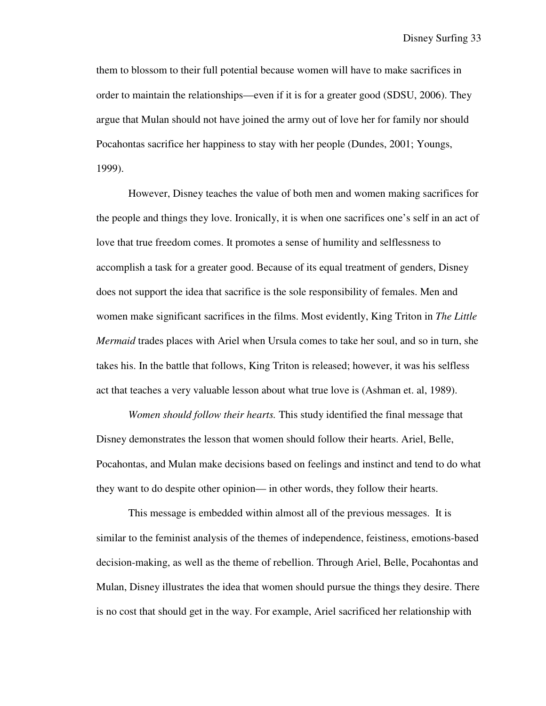them to blossom to their full potential because women will have to make sacrifices in order to maintain the relationships—even if it is for a greater good (SDSU, 2006). They argue that Mulan should not have joined the army out of love her for family nor should Pocahontas sacrifice her happiness to stay with her people (Dundes, 2001; Youngs, 1999).

 However, Disney teaches the value of both men and women making sacrifices for the people and things they love. Ironically, it is when one sacrifices one's self in an act of love that true freedom comes. It promotes a sense of humility and selflessness to accomplish a task for a greater good. Because of its equal treatment of genders, Disney does not support the idea that sacrifice is the sole responsibility of females. Men and women make significant sacrifices in the films. Most evidently, King Triton in *The Little Mermaid* trades places with Ariel when Ursula comes to take her soul, and so in turn, she takes his. In the battle that follows, King Triton is released; however, it was his selfless act that teaches a very valuable lesson about what true love is (Ashman et. al, 1989).

 *Women should follow their hearts.* This study identified the final message that Disney demonstrates the lesson that women should follow their hearts. Ariel, Belle, Pocahontas, and Mulan make decisions based on feelings and instinct and tend to do what they want to do despite other opinion— in other words, they follow their hearts.

 This message is embedded within almost all of the previous messages. It is similar to the feminist analysis of the themes of independence, feistiness, emotions-based decision-making, as well as the theme of rebellion. Through Ariel, Belle, Pocahontas and Mulan, Disney illustrates the idea that women should pursue the things they desire. There is no cost that should get in the way. For example, Ariel sacrificed her relationship with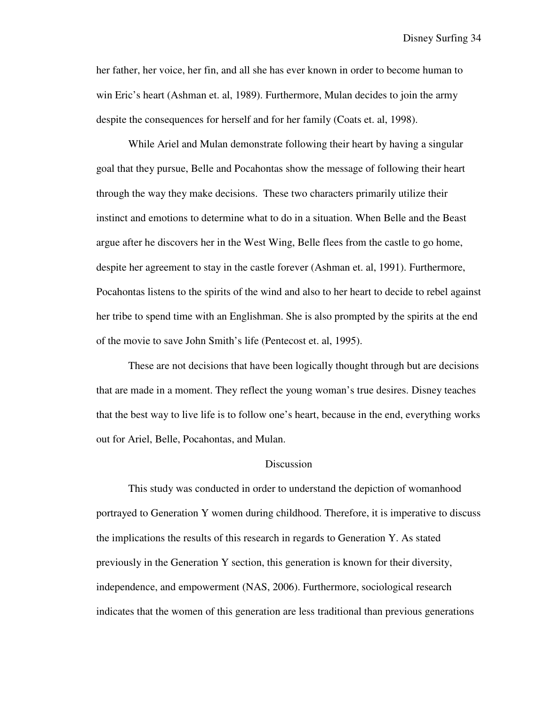Disney Surfing 34

her father, her voice, her fin, and all she has ever known in order to become human to win Eric's heart (Ashman et. al, 1989). Furthermore, Mulan decides to join the army despite the consequences for herself and for her family (Coats et. al, 1998).

 While Ariel and Mulan demonstrate following their heart by having a singular goal that they pursue, Belle and Pocahontas show the message of following their heart through the way they make decisions. These two characters primarily utilize their instinct and emotions to determine what to do in a situation. When Belle and the Beast argue after he discovers her in the West Wing, Belle flees from the castle to go home, despite her agreement to stay in the castle forever (Ashman et. al, 1991). Furthermore, Pocahontas listens to the spirits of the wind and also to her heart to decide to rebel against her tribe to spend time with an Englishman. She is also prompted by the spirits at the end of the movie to save John Smith's life (Pentecost et. al, 1995).

 These are not decisions that have been logically thought through but are decisions that are made in a moment. They reflect the young woman's true desires. Disney teaches that the best way to live life is to follow one's heart, because in the end, everything works out for Ariel, Belle, Pocahontas, and Mulan.

### **Discussion**

 This study was conducted in order to understand the depiction of womanhood portrayed to Generation Y women during childhood. Therefore, it is imperative to discuss the implications the results of this research in regards to Generation Y. As stated previously in the Generation Y section, this generation is known for their diversity, independence, and empowerment (NAS, 2006). Furthermore, sociological research indicates that the women of this generation are less traditional than previous generations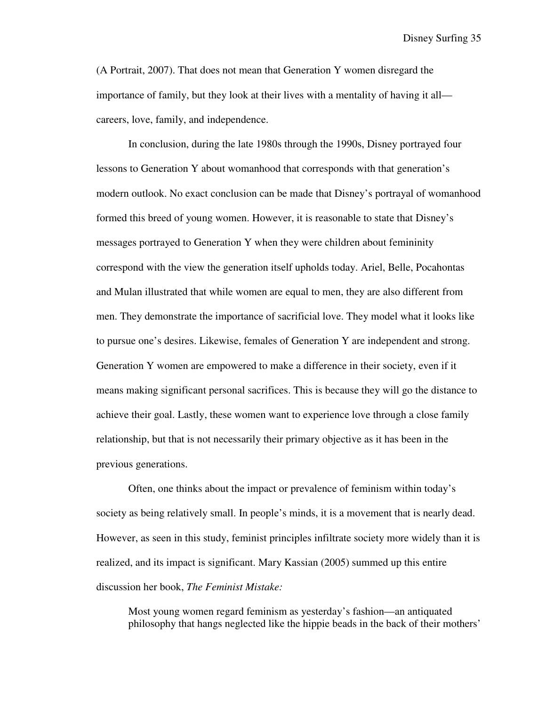Disney Surfing 35

(A Portrait, 2007). That does not mean that Generation Y women disregard the importance of family, but they look at their lives with a mentality of having it all careers, love, family, and independence.

 In conclusion, during the late 1980s through the 1990s, Disney portrayed four lessons to Generation Y about womanhood that corresponds with that generation's modern outlook. No exact conclusion can be made that Disney's portrayal of womanhood formed this breed of young women. However, it is reasonable to state that Disney's messages portrayed to Generation Y when they were children about femininity correspond with the view the generation itself upholds today. Ariel, Belle, Pocahontas and Mulan illustrated that while women are equal to men, they are also different from men. They demonstrate the importance of sacrificial love. They model what it looks like to pursue one's desires. Likewise, females of Generation Y are independent and strong. Generation Y women are empowered to make a difference in their society, even if it means making significant personal sacrifices. This is because they will go the distance to achieve their goal. Lastly, these women want to experience love through a close family relationship, but that is not necessarily their primary objective as it has been in the previous generations.

 Often, one thinks about the impact or prevalence of feminism within today's society as being relatively small. In people's minds, it is a movement that is nearly dead. However, as seen in this study, feminist principles infiltrate society more widely than it is realized, and its impact is significant. Mary Kassian (2005) summed up this entire discussion her book, *The Feminist Mistake:* 

Most young women regard feminism as yesterday's fashion—an antiquated philosophy that hangs neglected like the hippie beads in the back of their mothers'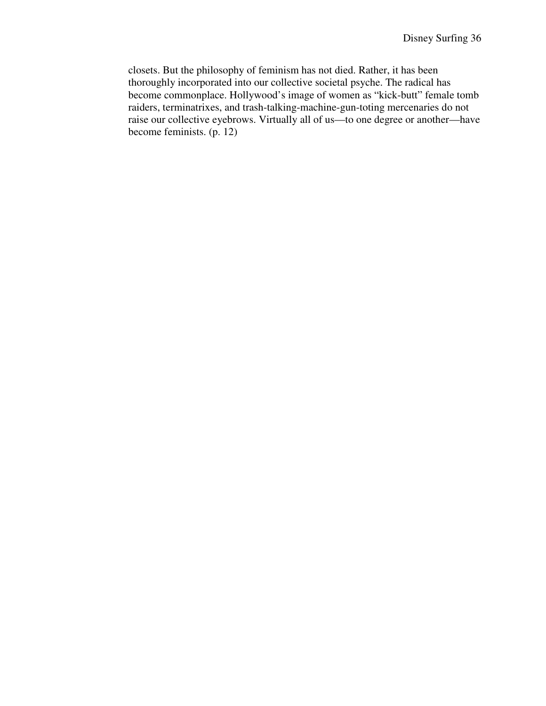closets. But the philosophy of feminism has not died. Rather, it has been thoroughly incorporated into our collective societal psyche. The radical has become commonplace. Hollywood's image of women as "kick-butt" female tomb raiders, terminatrixes, and trash-talking-machine-gun-toting mercenaries do not raise our collective eyebrows. Virtually all of us—to one degree or another—have become feminists. (p. 12)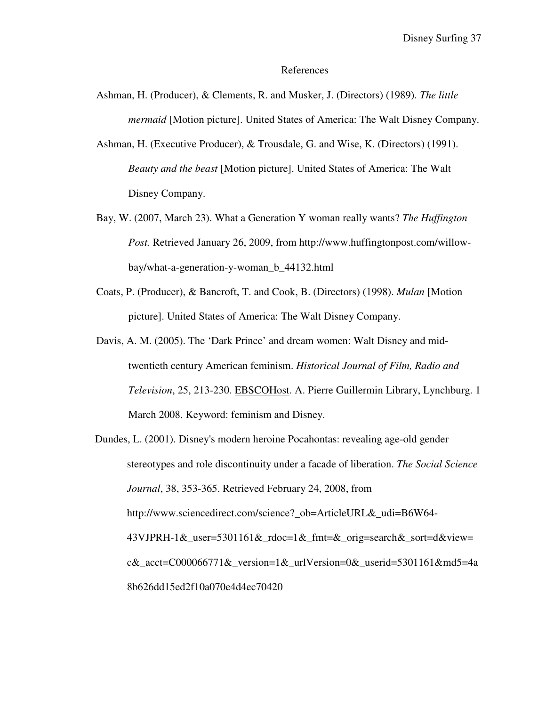#### References

- Ashman, H. (Producer), & Clements, R. and Musker, J. (Directors) (1989). *The little mermaid* [Motion picture]. United States of America: The Walt Disney Company.
- Ashman, H. (Executive Producer), & Trousdale, G. and Wise, K. (Directors) (1991). *Beauty and the beast* [Motion picture]. United States of America: The Walt Disney Company.
- Bay, W. (2007, March 23). What a Generation Y woman really wants? *The Huffington Post.* Retrieved January 26, 2009, from http://www.huffingtonpost.com/willowbay/what-a-generation-y-woman\_b\_44132.html
- Coats, P. (Producer), & Bancroft, T. and Cook, B. (Directors) (1998). *Mulan* [Motion picture]. United States of America: The Walt Disney Company.
- Davis, A. M. (2005). The 'Dark Prince' and dream women: Walt Disney and midtwentieth century American feminism. *Historical Journal of Film, Radio and Television*, 25, 213-230. EBSCOHost. A. Pierre Guillermin Library, Lynchburg. 1 March 2008. Keyword: feminism and Disney.
- Dundes, L. (2001). Disney's modern heroine Pocahontas: revealing age-old gender stereotypes and role discontinuity under a facade of liberation. *The Social Science Journal*, 38, 353-365. Retrieved February 24, 2008, from http://www.sciencedirect.com/science? ob=ArticleURL& udi=B6W64-43VJPRH-1&\_user=5301161&\_rdoc=1&\_fmt=&\_orig=search&\_sort=d&view=  $c&$  acct=C000066771&\_version=1&\_urlVersion=0&\_userid=5301161&md5=4a 8b626dd15ed2f10a070e4d4ec70420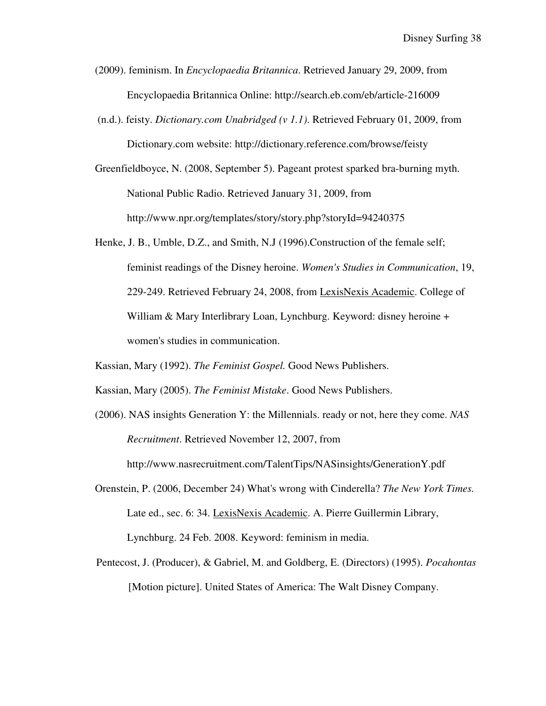- (2009). feminism. In *Encyclopaedia Britannica*. Retrieved January 29, 2009, from Encyclopaedia Britannica Online: http://search.eb.com/eb/article-216009
- (n.d.). feisty. *Dictionary.com Unabridged (v 1.1)*. Retrieved February 01, 2009, from Dictionary.com website: http://dictionary.reference.com/browse/feisty
- Greenfieldboyce, N. (2008, September 5). Pageant protest sparked bra-burning myth. National Public Radio. Retrieved January 31, 2009, from http://www.npr.org/templates/story/story.php?storyId=94240375
- Henke, J. B., Umble, D.Z., and Smith, N.J (1996).Construction of the female self; feminist readings of the Disney heroine. *Women's Studies in Communication*, 19, 229-249. Retrieved February 24, 2008, from LexisNexis Academic. College of William & Mary Interlibrary Loan, Lynchburg. Keyword: disney heroine + women's studies in communication.
- Kassian, Mary (1992). *The Feminist Gospel.* Good News Publishers.
- Kassian, Mary (2005). *The Feminist Mistake*. Good News Publishers.
- (2006). NAS insights Generation Y: the Millennials. ready or not, here they come. *NAS Recruitment*. Retrieved November 12, 2007, from http://www.nasrecruitment.com/TalentTips/NASinsights/GenerationY.pdf
- Orenstein, P. (2006, December 24) What's wrong with Cinderella? *The New York Times.* Late ed., sec. 6: 34. LexisNexis Academic. A. Pierre Guillermin Library, Lynchburg. 24 Feb. 2008. Keyword: feminism in media.
- Pentecost, J. (Producer), & Gabriel, M. and Goldberg, E. (Directors) (1995). *Pocahontas* [Motion picture]. United States of America: The Walt Disney Company.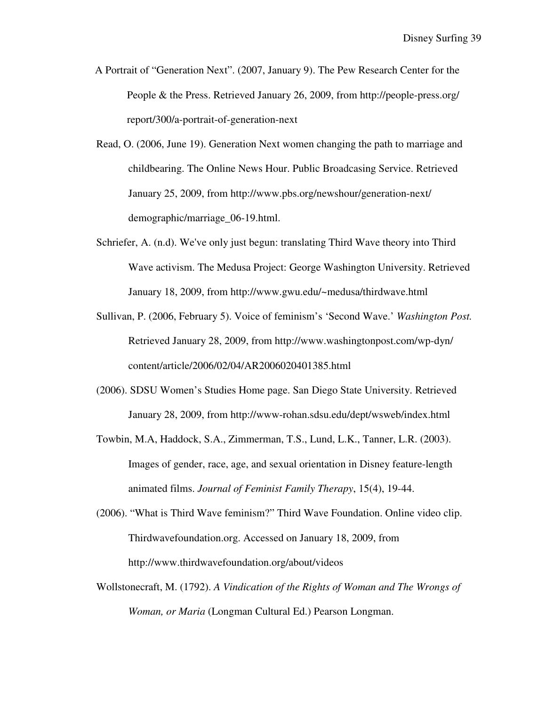- A Portrait of "Generation Next". (2007, January 9). The Pew Research Center for the People & the Press. Retrieved January 26, 2009, from http://people-press.org/ report/300/a-portrait-of-generation-next
- Read, O. (2006, June 19). Generation Next women changing the path to marriage and childbearing. The Online News Hour. Public Broadcasing Service. Retrieved January 25, 2009, from http://www.pbs.org/newshour/generation-next/ demographic/marriage\_06-19.html.
- Schriefer, A. (n.d). We've only just begun: translating Third Wave theory into Third Wave activism. The Medusa Project: George Washington University. Retrieved January 18, 2009, from http://www.gwu.edu/~medusa/thirdwave.html
- Sullivan, P. (2006, February 5). Voice of feminism's 'Second Wave.' *Washington Post.* Retrieved January 28, 2009, from http://www.washingtonpost.com/wp-dyn/ content/article/2006/02/04/AR2006020401385.html
- (2006). SDSU Women's Studies Home page. San Diego State University. Retrieved January 28, 2009, from http://www-rohan.sdsu.edu/dept/wsweb/index.html
- Towbin, M.A, Haddock, S.A., Zimmerman, T.S., Lund, L.K., Tanner, L.R. (2003). Images of gender, race, age, and sexual orientation in Disney feature-length animated films. *Journal of Feminist Family Therapy*, 15(4), 19-44.
- (2006). "What is Third Wave feminism?" Third Wave Foundation. Online video clip. Thirdwavefoundation.org. Accessed on January 18, 2009, from http://www.thirdwavefoundation.org/about/videos
- Wollstonecraft, M. (1792). *A Vindication of the Rights of Woman and The Wrongs of Woman, or Maria* (Longman Cultural Ed.) Pearson Longman.